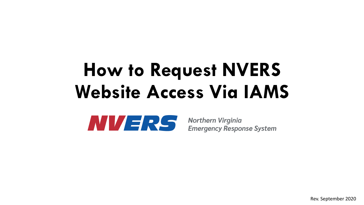## **How to Request NVERS Website Access Via IAMS**

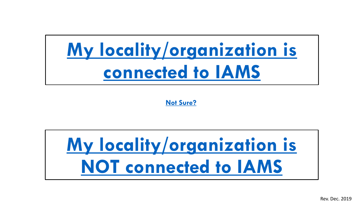## **[My locality/organization is](#page-3-0)  connected to IAMS**

**[Not Sure?](https://ncrnet.us/iams/)**

# **[My locality/organization is](#page-6-0)  NOT connected to IAMS**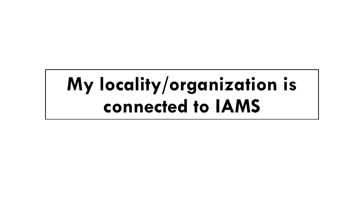## **My locality/organization is connected to IAMS**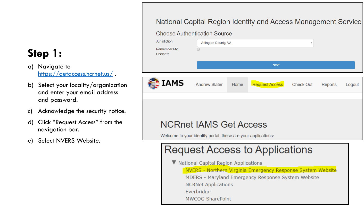### <span id="page-3-0"></span>**Step 1:**

- a) Navigate to <https://getaccess.ncrnet.us/>.
- b) Select your locality/organization and enter your email address and password.
- c) Acknowledge the security notice.
- d) Click "Request Access" from the navigation bar.
- e) Select NVERS Website.

#### National Capital Region Identity and Access Management Service

#### **Choose Authentication Source**

| Jurisdiction:<br>Remember My<br>Choice?: | Arlington County, VA<br>$\overline{\mathbf{v}}$               |      |                       |                  |         |        |
|------------------------------------------|---------------------------------------------------------------|------|-----------------------|------------------|---------|--------|
|                                          |                                                               |      | <b>Next</b>           |                  |         |        |
| IAMS                                     | <b>Andrew Slater</b>                                          | Home | <b>Request Access</b> | <b>Check Out</b> | Reports | Logout |
|                                          |                                                               |      |                       |                  |         |        |
| <b>NCRnet IAMS Get Access</b>            |                                                               |      |                       |                  |         |        |
|                                          | Welcome to your identity portal, these are your applications: |      |                       |                  |         |        |

### **Request Access to Applications**

V National Capital Region Applications

NVERS - Northern Virginia Emergency Response System Website

MDERS - Maryland Emergency Response System Website **NCRNet Applications** Everbridge **MWCOG SharePoint**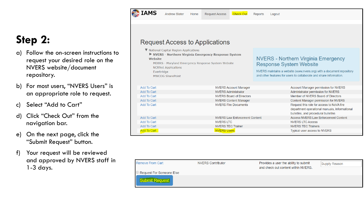### **Step 2:**

- a) Follow the on-screen instructions to request your desired role on the NVERS website/document repository.
- b) For most users, "NVERS Users" is an appropriate role to request.
- c) Select "Add to Cart"
- d) Click "Check Out" from the navigation bar.
- e) On the next page, click the "Submit Request" button.
- f) Your request will be reviewed and approved by NVERS staff in 1-3 days.

**Request Access to Applications** 

**Request Access** 

**Check Out** 

Reports

Logout

**ELAMS** 

**Andrew Slater** 

 $\blacksquare$  and the state of  $\blacksquare$ 

Home

| $\blacktriangledown$ National Capital Region Applications<br>NVERS - Northern Virginia Emergency Response System<br><b>Website</b><br>MDERS - Maryland Emergency Response System Website<br><b>NCRNet Applications</b><br>Everbridge<br><b>MWCOG SharePoint</b> |                                      | <b>NVERS - Northern Virginia Emergency</b><br><b>Response System Website</b><br>NVERS maintains a website (www.nvers.org) with a document repository<br>and other features for users to collaborate and share information. |                                                                                                                                   |
|-----------------------------------------------------------------------------------------------------------------------------------------------------------------------------------------------------------------------------------------------------------------|--------------------------------------|----------------------------------------------------------------------------------------------------------------------------------------------------------------------------------------------------------------------------|-----------------------------------------------------------------------------------------------------------------------------------|
| <b>Add To Cart</b>                                                                                                                                                                                                                                              | <b>NVERS Account Manager</b>         |                                                                                                                                                                                                                            | Account Manager permission for NVERS                                                                                              |
| <b>Add To Cart</b><br><b>NVERS Administrator</b>                                                                                                                                                                                                                |                                      |                                                                                                                                                                                                                            | Administrator permission for NVERS                                                                                                |
| <b>Add To Cart</b>                                                                                                                                                                                                                                              | <b>NVERS Board of Directors</b>      |                                                                                                                                                                                                                            | Member of NVERS Board of Directors                                                                                                |
| <b>Add To Cart</b>                                                                                                                                                                                                                                              | <b>NVERS Content Manager</b>         |                                                                                                                                                                                                                            | Content Manager permission for NVERS                                                                                              |
| <b>Add To Cart</b>                                                                                                                                                                                                                                              | <b>NVERS Fire Documents</b>          |                                                                                                                                                                                                                            | Request this role for access to NoVA fire<br>department operational manuals, informational<br>bulletins, and procedural bulletins |
| <b>Add To Cart</b>                                                                                                                                                                                                                                              | <b>NVERS Law Enforcement Content</b> |                                                                                                                                                                                                                            | <b>Access NVERS Law Enforcement Content</b>                                                                                       |
| <b>Add To Cart</b>                                                                                                                                                                                                                                              | <b>NVERS LTC</b>                     |                                                                                                                                                                                                                            | <b>NVERS LTC Access</b>                                                                                                           |
| <b>Add To Cart</b><br><b>NVERS TEC Trainer</b>                                                                                                                                                                                                                  |                                      |                                                                                                                                                                                                                            | <b>NVERS TEC Trainers</b>                                                                                                         |
| <b>Add To Cart</b>                                                                                                                                                                                                                                              | <b>NVERS Users</b>                   |                                                                                                                                                                                                                            | Typical user access to NVERS                                                                                                      |

| <b>Remove From Cart</b>                           | <b>NVERS Contributor</b> | Provides a user the ability to submit<br>and check out content within NVERS. | Supply Reason |
|---------------------------------------------------|--------------------------|------------------------------------------------------------------------------|---------------|
| Request For Someone Else<br><b>Submit Request</b> |                          |                                                                              |               |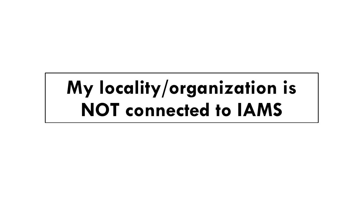## **My locality/organization is NOT connected to IAMS**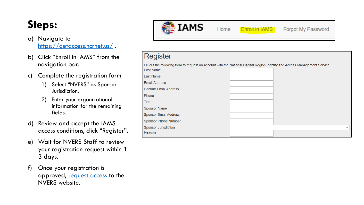### <span id="page-6-0"></span>**Steps:**

#### a) Navigate to <https://getaccess.ncrnet.us/>.

- b) Click "Enroll in IAMS" from the navigation bar.
- c) Complete the registration form
	- 1) Select "NVERS" as Sponsor Jurisdiction.
	- 2) Enter your organizational information for the remaining fields.
- d) Review and accept the IAMS access conditions, click "Register".
- e) Wait for NVERS Staff to review your registration request within 1- 3 days.
- f) Once your registration is approved, [request access](#page-3-0) to the NVERS website.



Home **Enroll in IAMS** 

Forgot My Password

#### Register

Fill out the following form to request an account with the National Capital Region Identity and Access Management Service Eiret Nome

| I II JI I VAII IU            |  |
|------------------------------|--|
| Last Name                    |  |
| <b>Email Address</b>         |  |
| <b>Confirm Email Address</b> |  |
| Phone                        |  |
| Title                        |  |
| <b>Sponsor Name</b>          |  |
| <b>Sponsor Email Address</b> |  |
| Sponsor Phone Number         |  |
| <b>Sponsor Jurisdiction</b>  |  |
| Reason                       |  |
|                              |  |